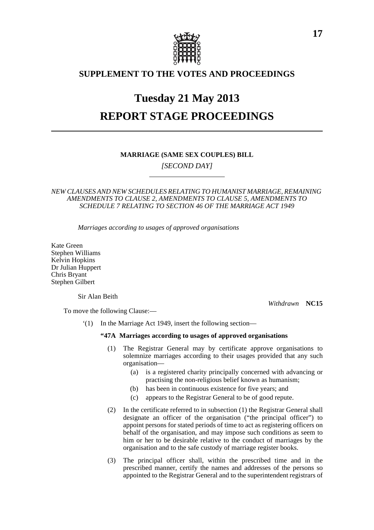

# **SUPPLEMENT TO THE VOTES AND PROCEEDINGS**

# **Tuesday 21 May 2013 REPORT STAGE PROCEEDINGS**

# **MARRIAGE (SAME SEX COUPLES) BILL**

*[SECOND DAY]*

# *NEW CLAUSES AND NEW SCHEDULES RELATING TO HUMANIST MARRIAGE, REMAINING AMENDMENTS TO CLAUSE 2, AMENDMENTS TO CLAUSE 5, AMENDMENTS TO SCHEDULE 7 RELATING TO SECTION 46 OF THE MARRIAGE ACT 1949*

*Marriages according to usages of approved organisations*

Kate Green Stephen Williams Kelvin Hopkins Dr Julian Huppert Chris Bryant Stephen Gilbert

Sir Alan Beith

*Withdrawn* **NC15**

To move the following Clause:—

'(1) In the Marriage Act 1949, insert the following section—

# **"47A Marriages according to usages of approved organisations**

- (1) The Registrar General may by certificate approve organisations to solemnize marriages according to their usages provided that any such organisation—
	- (a) is a registered charity principally concerned with advancing or practising the non-religious belief known as humanism;
	- (b) has been in continuous existence for five years; and
	- (c) appears to the Registrar General to be of good repute.
- (2) In the certificate referred to in subsection (1) the Registrar General shall designate an officer of the organisation ("the principal officer") to appoint persons for stated periods of time to act as registering officers on behalf of the organisation, and may impose such conditions as seem to him or her to be desirable relative to the conduct of marriages by the organisation and to the safe custody of marriage register books.
- (3) The principal officer shall, within the prescribed time and in the prescribed manner, certify the names and addresses of the persons so appointed to the Registrar General and to the superintendent registrars of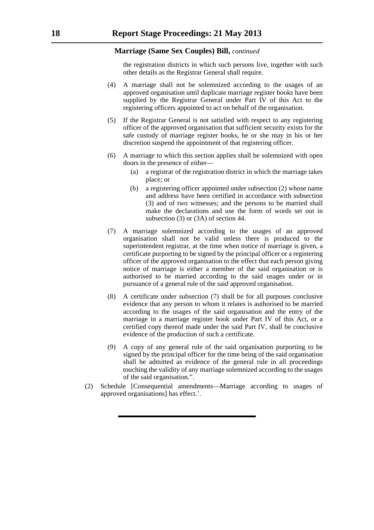the registration districts in which such persons live, together with such other details as the Registrar General shall require.

- (4) A marriage shall not be solemnized according to the usages of an approved organisation until duplicate marriage register books have been supplied by the Registrar General under Part IV of this Act to the registering officers appointed to act on behalf of the organisation.
- (5) If the Registrar General is not satisfied with respect to any registering officer of the approved organisation that sufficient security exists for the safe custody of marriage register books, he or she may in his or her discretion suspend the appointment of that registering officer.
- (6) A marriage to which this section applies shall be solemnized with open doors in the presence of either—
	- (a) a registrar of the registration district in which the marriage takes place; or
	- (b) a registering officer appointed under subsection (2) whose name and address have been certified in accordance with subsection (3) and of two witnesses; and the persons to be married shall make the declarations and use the form of words set out in subsection (3) or (3A) of section 44.
- (7) A marriage solemnized according to the usages of an approved organisation shall not be valid unless there is produced to the superintendent registrar, at the time when notice of marriage is given, a certificate purporting to be signed by the principal officer or a registering officer of the approved organisation to the effect that each person giving notice of marriage is either a member of the said organisation or is authorised to be married according to the said usages under or in pursuance of a general rule of the said approved organisation.
- (8) A certificate under subsection (7) shall be for all purposes conclusive evidence that any person to whom it relates is authorised to be married according to the usages of the said organisation and the entry of the marriage in a marriage register book under Part IV of this Act, or a certified copy thereof made under the said Part IV, shall be conclusive evidence of the production of such a certificate.
- (9) A copy of any general rule of the said organisation purporting to be signed by the principal officer for the time being of the said organisation shall be admitted as evidence of the general rule in all proceedings touching the validity of any marriage solemnized according to the usages of the said organisation.".
- (2) Schedule [Consequential amendments—Marriage according to usages of approved organisations] has effect.'.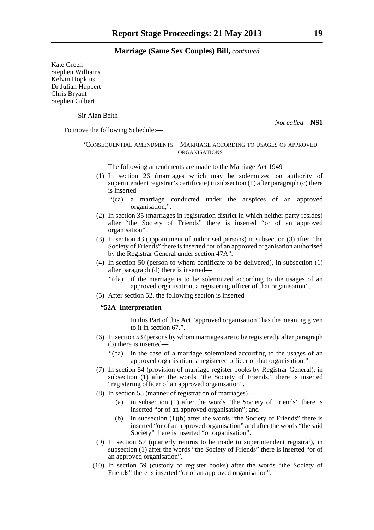Kate Green Stephen Williams Kelvin Hopkins Dr Julian Huppert Chris Bryant Stephen Gilbert

Sir Alan Beith

*Not called* **NS1**

To move the following Schedule:—

#### 'CONSEQUENTIAL AMENDMENTS—MARRIAGE ACCORDING TO USAGES OF APPROVED ORGANISATIONS

The following amendments are made to the Marriage Act 1949—

- (1) In section 26 (marriages which may be solemnized on authority of superintendent registrar's certificate) in subsection (1) after paragraph (c) there is inserted—
	- "(ca) a marriage conducted under the auspices of an approved organisation;".
- (2) In section 35 (marriages in registration district in which neither party resides) after "the Society of Friends" there is inserted "or of an approved organisation".
- (3) In section 43 (appointment of authorised persons) in subsection (3) after "the Society of Friends" there is inserted "or of an approved organisation authorised by the Registrar General under section 47A".
- (4) In section 50 (person to whom certificate to be delivered), in subsection (1) after paragraph (d) there is inserted—
	- "(da) if the marriage is to be solemnized according to the usages of an approved organisation, a registering officer of that organisation".
- (5) After section 52, the following section is inserted—

# **"52A Interpretation**

In this Part of this Act "approved organisation" has the meaning given to it in section 67".

- (6) In section 53 (persons by whom marriages are to be registered), after paragraph (b) there is inserted—
	- "(ba) in the case of a marriage solemnized according to the usages of an approved organisation, a registered officer of that organisation;".
- (7) In section 54 (provision of marriage register books by Registrar General), in subsection (1) after the words "the Society of Friends," there is inserted "registering officer of an approved organisation".
- (8) In section 55 (manner of registration of marriages)—
	- (a) in subsection (1) after the words "the Society of Friends" there is inserted "or of an approved organisation"; and
	- (b) in subsection (1)(b) after the words "the Society of Friends" there is inserted "or of an approved organisation" and after the words "the said Society" there is inserted "or organisation".
- (9) In section 57 (quarterly returns to be made to superintendent registrar), in subsection (1) after the words "the Society of Friends" there is inserted "or of an approved organisation".
- (10) In section 59 (custody of register books) after the words "the Society of Friends" there is inserted "or of an approved organisation".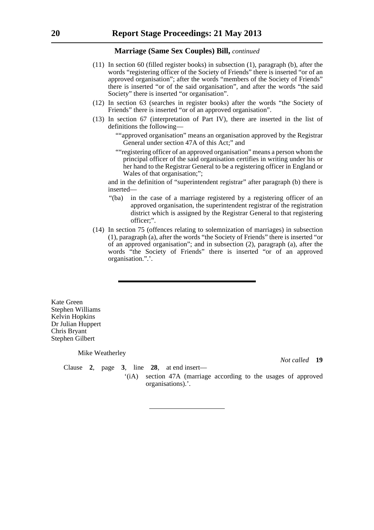- (11) In section 60 (filled register books) in subsection (1), paragraph (b), after the words "registering officer of the Society of Friends" there is inserted "or of an approved organisation"; after the words "members of the Society of Friends" there is inserted "or of the said organisation", and after the words "the said Society" there is inserted "or organisation".
- (12) In section 63 (searches in register books) after the words "the Society of Friends" there is inserted "or of an approved organisation".
- (13) In section 67 (interpretation of Part IV), there are inserted in the list of definitions the following—
	- ""approved organisation" means an organisation approved by the Registrar General under section 47A of this Act;" and
	- ""registering officer of an approved organisation" means a person whom the principal officer of the said organisation certifies in writing under his or her hand to the Registrar General to be a registering officer in England or Wales of that organisation;";

and in the definition of "superintendent registrar" after paragraph (b) there is inserted—

"(ba) in the case of a marriage registered by a registering officer of an approved organisation, the superintendent registrar of the registration district which is assigned by the Registrar General to that registering officer;".

'(iA) section 47A (marriage according to the usages of approved

(14) In section 75 (offences relating to solemnization of marriages) in subsection (1), paragraph (a), after the words "the Society of Friends" there is inserted "or of an approved organisation"; and in subsection (2), paragraph (a), after the words "the Society of Friends" there is inserted "or of an approved organisation.".'.

Kate Green Stephen Williams Kelvin Hopkins Dr Julian Huppert Chris Bryant Stephen Gilbert

#### Mike Weatherley

Clause **2**, page **3**, line **28**, at end insert—

organisations).'.

*Not called* **19**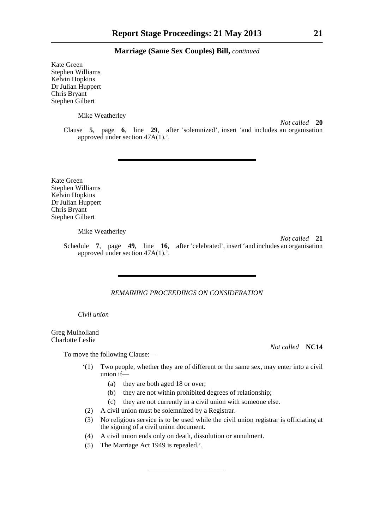Kate Green Stephen Williams Kelvin Hopkins Dr Julian Huppert Chris Bryant Stephen Gilbert

Mike Weatherley

*Not called* **20**

Clause **5**, page **6**, line **29**, after 'solemnized', insert 'and includes an organisation approved under section 47A(1).'.

Kate Green Stephen Williams Kelvin Hopkins Dr Julian Huppert Chris Bryant Stephen Gilbert

Mike Weatherley

*Not called* **21**

Schedule **7**, page **49**, line **16**, after 'celebrated', insert 'and includes an organisation approved under section 47A(1).'.

#### *REMAINING PROCEEDINGS ON CONSIDERATION*

*Civil union*

Greg Mulholland Charlotte Leslie

To move the following Clause:—

*Not called* **NC14**

- '(1) Two people, whether they are of different or the same sex, may enter into a civil union if—
	- (a) they are both aged 18 or over;
	- (b) they are not within prohibited degrees of relationship;
	- (c) they are not currently in a civil union with someone else.
- (2) A civil union must be solemnized by a Registrar.
- (3) No religious service is to be used while the civil union registrar is officiating at the signing of a civil union document.
- (4) A civil union ends only on death, dissolution or annulment.
- (5) The Marriage Act 1949 is repealed.'.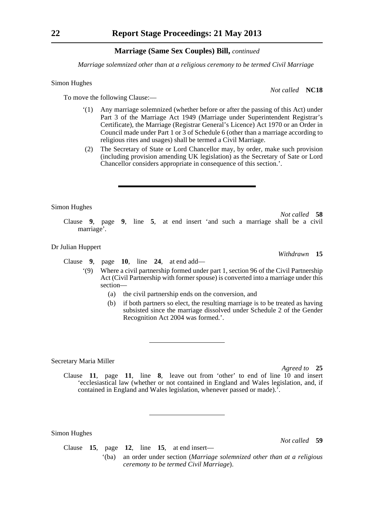*Marriage solemnized other than at a religious ceremony to be termed Civil Marriage*

#### Simon Hughes

To move the following Clause:—

- '(1) Any marriage solemnized (whether before or after the passing of this Act) under Part 3 of the Marriage Act 1949 (Marriage under Superintendent Registrar's Certificate), the Marriage (Registrar General's Licence) Act 1970 or an Order in Council made under Part 1 or 3 of Schedule 6 (other than a marriage according to religious rites and usages) shall be termed a Civil Marriage.
- (2) The Secretary of State or Lord Chancellor may, by order, make such provision (including provision amending UK legislation) as the Secretary of Sate or Lord Chancellor considers appropriate in consequence of this section.'.

#### Simon Hughes

*Not called* **58** Clause **9**, page **9**, line **5**, at end insert 'and such a marriage shall be a civil marriage'.

#### Dr Julian Huppert

Clause **9**, page **10**, line **24**, at end add—

- '(9) Where a civil partnership formed under part 1, section 96 of the Civil Partnership Act (Civil Partnership with former spouse) is converted into a marriage under this section—
	- (a) the civil partnership ends on the conversion, and
	- (b) if both partners so elect, the resulting marriage is to be treated as having subsisted since the marriage dissolved under Schedule 2 of the Gender Recognition Act 2004 was formed.'.

#### Secretary Maria Miller

*Agreed to* **25**

Clause **11**, page **11**, line **8**, leave out from 'other' to end of line 10 and insert 'ecclesiastical law (whether or not contained in England and Wales legislation, and, if contained in England and Wales legislation, whenever passed or made).'.

Simon Hughes

*Not called* **59**

Clause **15**, page **12**, line **15**, at end insert— '(ba) an order under section (*Marriage solemnized other than at a religious*

*ceremony to be termed Civil Marriage*).

*Not called* **NC18**

*Withdrawn* **15**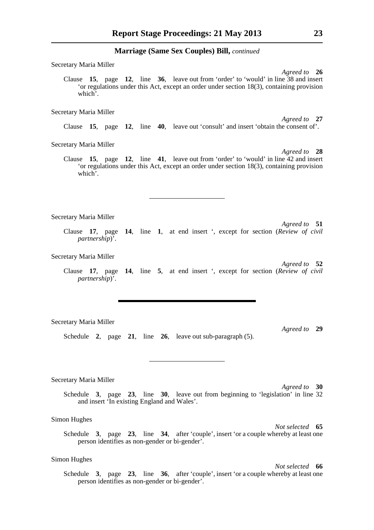Secretary Maria Miller

*Agreed to* **26** Clause **15**, page **12**, line **36**, leave out from 'order' to 'would' in line 38 and insert 'or regulations under this Act, except an order under section 18(3), containing provision which'.

Secretary Maria Miller

Clause **15**, page **12**, line **40**, leave out 'consult' and insert 'obtain the consent of'.

Secretary Maria Miller

Clause **15**, page **12**, line **41**, leave out from 'order' to 'would' in line 42 and insert 'or regulations under this Act, except an order under section 18(3), containing provision which'.

Secretary Maria Miller

*Agreed to* **51** Clause **17**, page **14**, line **1**, at end insert ', except for section (*Review of civil partnership*)'.

Secretary Maria Miller

*Agreed to* **52** Clause **17**, page **14**, line **5**, at end insert ', except for section (*Review of civil partnership*)'.

Secretary Maria Miller

*Agreed to* **29**

Schedule **2**, page **21**, line **26**, leave out sub-paragraph (5).

Secretary Maria Miller

*Agreed to* **30**

Schedule **3**, page **23**, line **30**, leave out from beginning to 'legislation' in line 32 and insert 'In existing England and Wales'.

Simon Hughes

*Not selected* **65** Schedule **3**, page **23**, line **34**, after 'couple', insert 'or a couple whereby at least one person identifies as non-gender or bi-gender'.

# Simon Hughes

*Not selected* **66**

Schedule **3**, page **23**, line **36**, after 'couple', insert 'or a couple whereby at least one person identifies as non-gender or bi-gender'.

*Agreed to* **27**

*Agreed to* **28**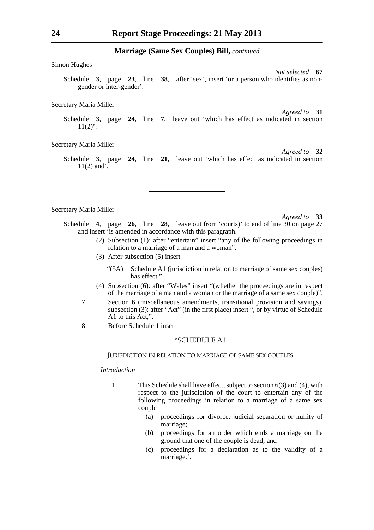Simon Hughes

*Not selected* **67** Schedule **3**, page **23**, line **38**, after 'sex', insert 'or a person who identifies as nongender or inter-gender'.

#### Secretary Maria Miller

*Agreed to* **31**

*Agreed to* **32**

Schedule **3**, page **24**, line **7**, leave out 'which has effect as indicated in section  $11(2)$ .

Secretary Maria Miller

Schedule **3**, page **24**, line **21**, leave out 'which has effect as indicated in section 11(2) and'.

Secretary Maria Miller

*Agreed to* **33**

Schedule **4**, page **26**, line **28**, leave out from 'courts)' to end of line 30 on page 27 and insert 'is amended in accordance with this paragraph.

- (2) Subsection (1): after "entertain" insert "any of the following proceedings in relation to a marriage of a man and a woman".
- (3) After subsection (5) insert—
	- "(5A) Schedule A1 (jurisdiction in relation to marriage of same sex couples) has effect.".
- (4) Subsection (6): after "Wales" insert "(whether the proceedings are in respect of the marriage of a man and a woman or the marriage of a same sex couple)".
- 7 Section 6 (miscellaneous amendments, transitional provision and savings), subsection (3): after "Act" (in the first place) insert ", or by virtue of Schedule A1 to this Act,".
- 8 Before Schedule 1 insert—

# "SCHEDULE A1

#### JURISDICTION IN RELATION TO MARRIAGE OF SAME SEX COUPLES

#### *Introduction*

- 1 This Schedule shall have effect, subject to section 6(3) and (4), with respect to the jurisdiction of the court to entertain any of the following proceedings in relation to a marriage of a same sex couple—
	- (a) proceedings for divorce, judicial separation or nullity of marriage;
	- (b) proceedings for an order which ends a marriage on the ground that one of the couple is dead; and
	- (c) proceedings for a declaration as to the validity of a marriage.'.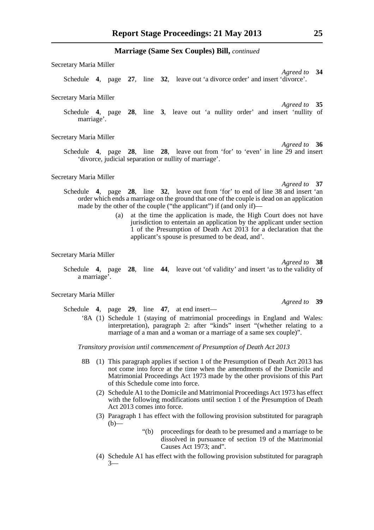Secretary Maria Miller *Agreed to* **34** Schedule **4**, page **27**, line **32**, leave out 'a divorce order' and insert 'divorce'.

Secretary Maria Miller

*Agreed to* **35** Schedule **4**, page **28**, line **3**, leave out 'a nullity order' and insert 'nullity of marriage'.

Secretary Maria Miller

*Agreed to* **36** Schedule **4**, page **28**, line **28**, leave out from 'for' to 'even' in line 29 and insert 'divorce, judicial separation or nullity of marriage'.

Secretary Maria Miller

*Agreed to* **37**

- Schedule **4**, page **28**, line **32**, leave out from 'for' to end of line 38 and insert 'an order which ends a marriage on the ground that one of the couple is dead on an application made by the other of the couple ("the applicant") if (and only if)—
	- (a) at the time the application is made, the High Court does not have jurisdiction to entertain an application by the applicant under section 1 of the Presumption of Death Act 2013 for a declaration that the applicant's spouse is presumed to be dead, and'.

Secretary Maria Miller

Schedule **4**, page **28**, line **44**, leave out 'of validity' and insert 'as to the validity of a marriage'.

#### Secretary Maria Miller

Schedule **4**, page **29**, line **47**, at end insert—

'8A (1) Schedule 1 (staying of matrimonial proceedings in England and Wales: interpretation), paragraph 2: after "kinds" insert "(whether relating to a marriage of a man and a woman or a marriage of a same sex couple)".

*Transitory provision until commencement of Presumption of Death Act 2013*

- 8B (1) This paragraph applies if section 1 of the Presumption of Death Act 2013 has not come into force at the time when the amendments of the Domicile and Matrimonial Proceedings Act 1973 made by the other provisions of this Part of this Schedule come into force.
	- (2) Schedule A1 to the Domicile and Matrimonial Proceedings Act 1973 has effect with the following modifications until section 1 of the Presumption of Death Act 2013 comes into force.
	- (3) Paragraph 1 has effect with the following provision substituted for paragraph  $(b)$ —
		- "(b) proceedings for death to be presumed and a marriage to be dissolved in pursuance of section 19 of the Matrimonial Causes Act 1973; and".
	- (4) Schedule A1 has effect with the following provision substituted for paragraph 3—

*Agreed to* **39**

*Agreed to* **38**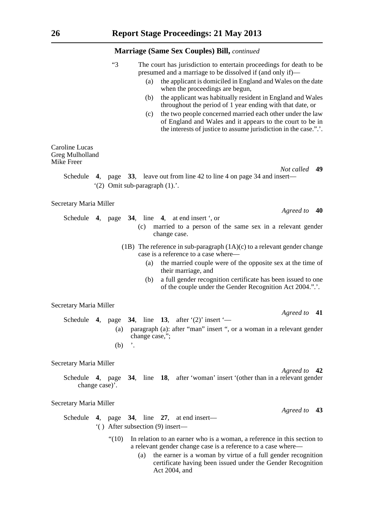|                                                 | "3              | The court has jurisdiction to entertain proceedings for death to be<br>presumed and a marriage to be dissolved if (and only if)—<br>the applicant is domiciled in England and Wales on the date<br>(a)<br>when the proceedings are begun,<br>the applicant was habitually resident in England and Wales<br>(b)<br>throughout the period of 1 year ending with that date, or<br>the two people concerned married each other under the law<br>(c)<br>of England and Wales and it appears to the court to be in<br>the interests of justice to assume jurisdiction in the case.".'. |               |
|-------------------------------------------------|-----------------|----------------------------------------------------------------------------------------------------------------------------------------------------------------------------------------------------------------------------------------------------------------------------------------------------------------------------------------------------------------------------------------------------------------------------------------------------------------------------------------------------------------------------------------------------------------------------------|---------------|
| Caroline Lucas<br>Greg Mulholland<br>Mike Freer |                 |                                                                                                                                                                                                                                                                                                                                                                                                                                                                                                                                                                                  |               |
| Schedule                                        |                 | 4, page 33, leave out from line 42 to line 4 on page 34 and insert—<br>$(2)$ Omit sub-paragraph $(1)$ .                                                                                                                                                                                                                                                                                                                                                                                                                                                                          | Not called 49 |
| Secretary Maria Miller                          |                 |                                                                                                                                                                                                                                                                                                                                                                                                                                                                                                                                                                                  |               |
| Schedule                                        |                 | 4, page 34, line 4, at end insert ', or<br>married to a person of the same sex in a relevant gender<br>(c)<br>change case.                                                                                                                                                                                                                                                                                                                                                                                                                                                       | Agreed to 40  |
|                                                 |                 | (1B) The reference in sub-paragraph $(1A)(c)$ to a relevant gender change<br>case is a reference to a case where-<br>the married couple were of the opposite sex at the time of<br>(a)<br>their marriage, and<br>a full gender recognition certificate has been issued to one<br>(b)<br>of the couple under the Gender Recognition Act 2004.".'.                                                                                                                                                                                                                                 |               |
| Secretary Maria Miller                          |                 |                                                                                                                                                                                                                                                                                                                                                                                                                                                                                                                                                                                  |               |
|                                                 | (a)<br>$(b)$ '. | Schedule 4, page 34, line 13, after $(2)$ insert $-$<br>paragraph (a): after "man" insert ", or a woman in a relevant gender<br>change case,";                                                                                                                                                                                                                                                                                                                                                                                                                                   | Agreed to 41  |
| Secretary Maria Miller                          |                 |                                                                                                                                                                                                                                                                                                                                                                                                                                                                                                                                                                                  |               |
|                                                 | change case)'.  | Schedule 4, page 34, line 18, after 'woman' insert '(other than in a relevant gender                                                                                                                                                                                                                                                                                                                                                                                                                                                                                             | Agreed to 42  |
| Secretary Maria Miller                          |                 |                                                                                                                                                                                                                                                                                                                                                                                                                                                                                                                                                                                  |               |
|                                                 |                 | Schedule 4, page 34, line 27, at end insert—<br>$'( )$ After subsection (9) insert—                                                                                                                                                                                                                                                                                                                                                                                                                                                                                              | Agreed to 43  |
|                                                 | " $(10)$        | In relation to an earner who is a woman, a reference in this section to<br>a relevant gender change case is a reference to a case where—                                                                                                                                                                                                                                                                                                                                                                                                                                         |               |

(a) the earner is a woman by virtue of a full gender recognition certificate having been issued under the Gender Recognition Act 2004, and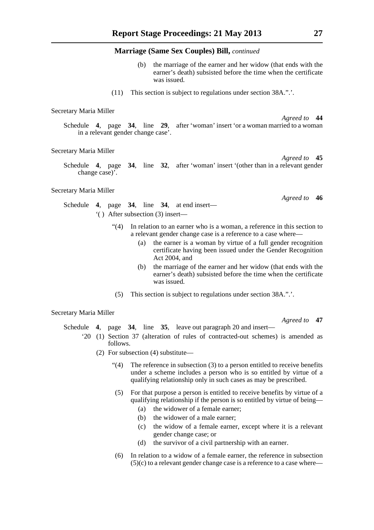- the marriage of the earner and her widow (that ends with the earner's death) subsisted before the time when the certificate was issued.
- (11) This section is subject to regulations under section 38A.".'.

#### Secretary Maria Miller

*Agreed to* **44** Schedule **4**, page **34**, line **29**, after 'woman' insert 'or a woman married to a woman in a relevant gender change case'.

#### Secretary Maria Miller

*Agreed to* **45** Schedule **4**, page **34**, line **32**, after 'woman' insert '(other than in a relevant gender change case)'.

#### Secretary Maria Miller

Schedule **4**, page **34**, line **34**, at end insert— '( ) After subsection (3) insert—

- "(4) In relation to an earner who is a woman, a reference in this section to a relevant gender change case is a reference to a case where—
	- (a) the earner is a woman by virtue of a full gender recognition certificate having been issued under the Gender Recognition Act 2004, and
	- (b) the marriage of the earner and her widow (that ends with the earner's death) subsisted before the time when the certificate was issued.
- (5) This section is subject to regulations under section 38A.".'.

#### Secretary Maria Miller

Schedule **4**, page **34**, line **35**, leave out paragraph 20 and insert—

- '20 (1) Section 37 (alteration of rules of contracted-out schemes) is amended as follows.
	- (2) For subsection (4) substitute—
		- " $(4)$  The reference in subsection  $(3)$  to a person entitled to receive benefits under a scheme includes a person who is so entitled by virtue of a qualifying relationship only in such cases as may be prescribed.
		- (5) For that purpose a person is entitled to receive benefits by virtue of a qualifying relationship if the person is so entitled by virtue of being—
			- (a) the widower of a female earner;
			- (b) the widower of a male earner;
			- (c) the widow of a female earner, except where it is a relevant gender change case; or
			- (d) the survivor of a civil partnership with an earner.
		- (6) In relation to a widow of a female earner, the reference in subsection  $(5)(c)$  to a relevant gender change case is a reference to a case where—

*Agreed to* **46**

*Agreed to* **47**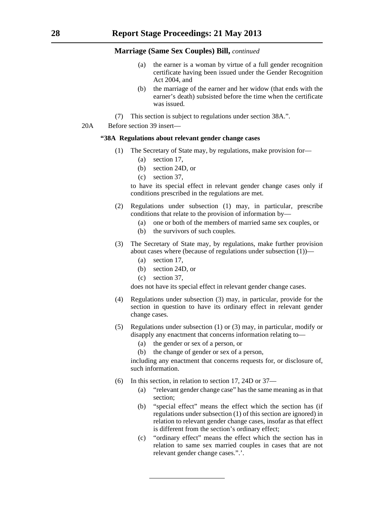- (a) the earner is a woman by virtue of a full gender recognition certificate having been issued under the Gender Recognition Act 2004, and
- (b) the marriage of the earner and her widow (that ends with the earner's death) subsisted before the time when the certificate was issued.
- (7) This section is subject to regulations under section 38A.".
- 20A Before section 39 insert—

#### **"38A Regulations about relevant gender change cases**

- (1) The Secretary of State may, by regulations, make provision for—
	- (a) section 17,
	- (b) section 24D, or
	- (c) section 37,

to have its special effect in relevant gender change cases only if conditions prescribed in the regulations are met.

- (2) Regulations under subsection (1) may, in particular, prescribe conditions that relate to the provision of information by—
	- (a) one or both of the members of married same sex couples, or
	- (b) the survivors of such couples.
- (3) The Secretary of State may, by regulations, make further provision about cases where (because of regulations under subsection  $(1)$ )—
	- (a) section 17,
	- (b) section 24D, or
	- (c) section 37,

does not have its special effect in relevant gender change cases.

- (4) Regulations under subsection (3) may, in particular, provide for the section in question to have its ordinary effect in relevant gender change cases.
- (5) Regulations under subsection (1) or (3) may, in particular, modify or disapply any enactment that concerns information relating to—
	- (a) the gender or sex of a person, or
	- (b) the change of gender or sex of a person,

including any enactment that concerns requests for, or disclosure of, such information.

- (6) In this section, in relation to section 17, 24D or 37—
	- (a) "relevant gender change case" has the same meaning as in that section;
	- (b) "special effect" means the effect which the section has (if regulations under subsection (1) of this section are ignored) in relation to relevant gender change cases, insofar as that effect is different from the section's ordinary effect;
	- (c) "ordinary effect" means the effect which the section has in relation to same sex married couples in cases that are not relevant gender change cases.".'.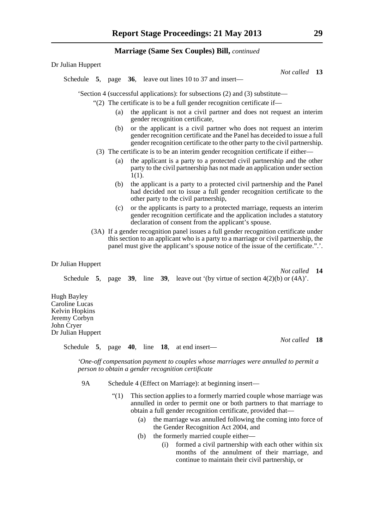Dr Julian Huppert

*Not called* **13**

*Not called* **14**

*Not called* **18**

Schedule **5**, page **36**, leave out lines 10 to 37 and insert—

'Section 4 (successful applications): for subsections (2) and (3) substitute—

"(2) The certificate is to be a full gender recognition certificate if—

- (a) the applicant is not a civil partner and does not request an interim gender recognition certificate,
- (b) or the applicant is a civil partner who does not request an interim gender recognition certificate and the Panel has deceided to issue a full gender recognition certificate to the other party to the civil partnership.
- (3) The certificate is to be an interim gender recognition certificate if either—
	- (a) the applicant is a party to a protected civil partnership and the other party to the civil partnership has not made an application under section  $1(1)$ .
	- (b) the applicant is a party to a protected civil partnership and the Panel had decided not to issue a full gender recognition certificate to the other party to the civil partnership,
	- (c) or the applicants is party to a protected marriage, requests an interim gender recognition certificate and the application includes a statutory declaration of consent from the applicant's spouse.
- (3A) If a gender recognition panel issues a full gender recognition certificate under this section to an applicant who is a party to a marriage or civil partnership, the panel must give the applicant's spouse notice of the issue of the certificate.".'.

#### Dr Julian Huppert

Schedule **5**, page **39**, line **39**, leave out '(by virtue of section  $4(2)(b)$  or  $(4A)$ '.

Hugh Bayley Caroline Lucas Kelvin Hopkins Jeremy Corbyn John Cryer Dr Julian Huppert

Schedule **5**, page **40**, line **18**, at end insert—

*'One-off compensation payment to couples whose marriages were annulled to permit a person to obtain a gender recognition certificate*

9A Schedule 4 (Effect on Marriage): at beginning insert—

- "(1) This section applies to a formerly married couple whose marriage was annulled in order to permit one or both partners to that marriage to obtain a full gender recognition certificate, provided that—
	- (a) the marriage was annulled following the coming into force of the Gender Recognition Act 2004, and
	- (b) the formerly married couple either—
		- (i) formed a civil partnership with each other within six months of the annulment of their marriage, and continue to maintain their civil partnership, or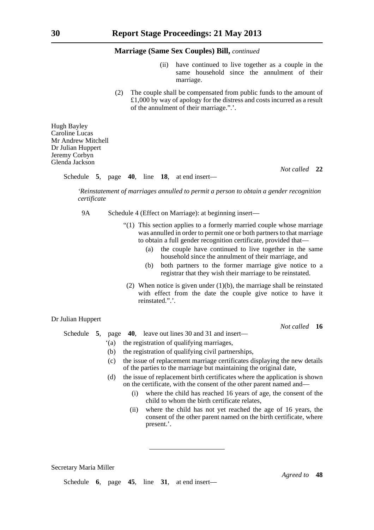- (ii) have continued to live together as a couple in the same household since the annulment of their marriage.
- (2) The couple shall be compensated from public funds to the amount of  $\pounds1,000$  by way of apology for the distress and costs incurred as a result of the annulment of their marriage.".'.

Hugh Bayley Caroline Lucas Mr Andrew Mitchell Dr Julian Huppert Jeremy Corbyn Glenda Jackson

Schedule **5**, page **40**, line **18**, at end insert—

*Not called* **22**

*'Reinstatement of marriages annulled to permit a person to obtain a gender recognition certificate*

9A Schedule 4 (Effect on Marriage): at beginning insert—

- "(1) This section applies to a formerly married couple whose marriage was annulled in order to permit one or both partners to that marriage to obtain a full gender recognition certificate, provided that—
	- (a) the couple have continued to live together in the same household since the annulment of their marriage, and
	- (b) both partners to the former marriage give notice to a registrar that they wish their marriage to be reinstated.
- (2) When notice is given under  $(1)(b)$ , the marriage shall be reinstated with effect from the date the couple give notice to have it reinstated."

## Dr Julian Huppert

*Not called* **16**

*Agreed to* **48**

Schedule **5**, page **40**, leave out lines 30 and 31 and insert—

- '(a) the registration of qualifying marriages,
- (b) the registration of qualifying civil partnerships,
- (c) the issue of replacement marriage certificates displaying the new details of the parties to the marriage but maintaining the original date,
- (d) the issue of replacement birth certificates where the application is shown on the certificate, with the consent of the other parent named and—
	- (i) where the child has reached 16 years of age, the consent of the child to whom the birth certificate relates,
	- (ii) where the child has not yet reached the age of 16 years, the consent of the other parent named on the birth certificate, where present.'.

Secretary Maria Miller

Schedule **6**, page **45**, line **31**, at end insert—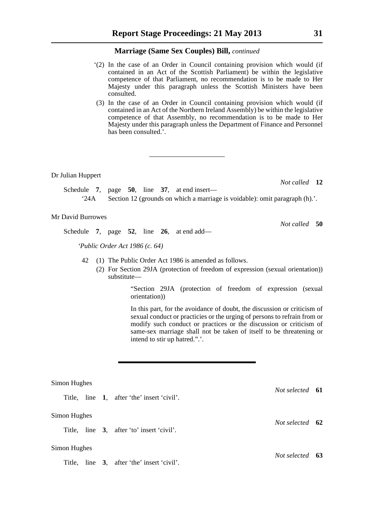- '(2) In the case of an Order in Council containing provision which would (if contained in an Act of the Scottish Parliament) be within the legislative competence of that Parliament, no recommendation is to be made to Her Majesty under this paragraph unless the Scottish Ministers have been consulted.
- (3) In the case of an Order in Council containing provision which would (if contained in an Act of the Northern Ireland Assembly) be within the legislative competence of that Assembly, no recommendation is to be made to Her Majesty under this paragraph unless the Department of Finance and Personnel has been consulted.'.

Dr Julian Huppert

*Not called* **12**

*Not called* **50**

Schedule **7**, page **50**, line **37**, at end insert— '24A Section 12 (grounds on which a marriage is voidable): omit paragraph  $(h)$ .'.

#### Mr David Burrowes

Schedule **7**, page **52**, line **26**, at end add—

*'Public Order Act 1986 (c. 64)*

- 42 (1) The Public Order Act 1986 is amended as follows.
	- (2) For Section 29JA (protection of freedom of expression (sexual orientation)) substitute—

 "Section 29JA (protection of freedom of expression (sexual orientation))

 In this part, for the avoidance of doubt, the discussion or criticism of sexual conduct or practicies or the urging of persons to refrain from or modify such conduct or practices or the discussion or criticism of same-sex marriage shall not be taken of itself to be threatening or intend to stir up hatred.".'.

## Simon Hughes

Title, line **1**, after 'the' insert 'civil'.

#### Simon Hughes

Title, line **3**, after 'to' insert 'civil'.

# Simon Hughes

Title, line **3**, after 'the' insert 'civil'.

*Not selected* **61**

*Not selected* **62**

*Not selected* **63**